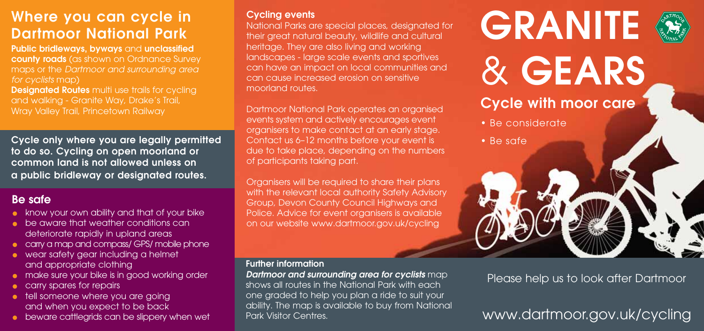# **Where you can cycle in Dartmoor National Park**

**Public bridleways, byways** and **unclassified county roads** (as shown on Ordnance Survey maps or the *Dartmoor and surrounding area for cyclists* map)

**Designated Routes** multi use trails for cycling and walking - Granite Way, Drake's Trail, Wray Valley Trail, Princetown Railway

**Cycle only where you are legally permitted to do so. Cycling on open moorland or common land is not allowed unless on a public bridleway or designated routes.**

## **Be safe**

- **•** know your own ability and that of your bike
- **•** be aware that weather conditions can deteriorate rapidly in upland areas
- carry a map and compass/ GPS/ mobile phone
- wear safety gear including a helmet and appropriate clothing
- **•** make sure your bike is in good working order
- **carry spares for repairs**
- **tell someone where you are going** and when you expect to be back
- **•** beware cattlegrids can be slippery when wet

### **Cycling events**

National Parks are special places, designated for their great natural beauty, wildlife and cultural heritage. They are also living and working landscapes - large scale events and sportives can have an impact on local communities and can cause increased erosion on sensitive moorland routes.

Dartmoor National Park operates an organised events system and actively encourages event organisers to make contact at an early stage. Contact us 6–12 months before your event is due to take place, depending on the numbers of participants taking part.

Organisers will be required to share their plans with the relevant local authority Safety Advisory Group, Devon County Council Highways and Police. Advice for event organisers is available on our website www.dartmoor.gov.uk/cycling

### **Further information**

*Dartmoor and surrounding area for cyclists* map shows all routes in the National Park with each one graded to help you plan a ride to suit your ability. The map is available to buy from National Park Visitor Centres.



## Please help us to look after Dartmoor

# www.dartmoor.gov.uk/cycling